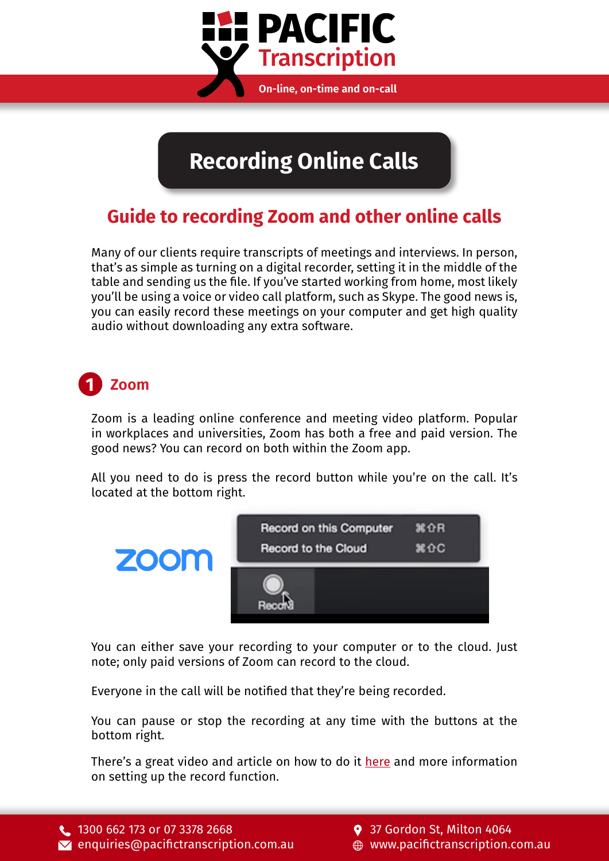

**Recording Online Calls**

### **Guide to recording Zoom and other online calls**

Many of our clients require transcripts of meetings and interviews. In person, that's as simple as turning on a digital recorder, setting it in the middle of the table and sending us the file. If you've started working from home, most likely you'll be using a voice or video call platform, such as Skype. The good news is, you can easily record these meetings on your computer and get high quality audio without downloading any extra software.

#### **1 Zoom**

Zoom is a leading online conference and meeting video platform. Popular in workplaces and universities, Zoom has both a free and paid version. The good news? You can record on both within the Zoom app.

All you need to do is press the record button while you're on the call. It's located at the bottom right.



You can either save your recording to your computer or to the cloud. Just note; only paid versions of Zoom can record to the cloud.

Everyone in the call will be notified that they're being recorded.

You can pause or stop the recording at any time with the buttons at the bottom right.

There's a great video and article on how to do it [here](https://support.zoom.us/hc/en-us/articles/201362473-Local-Recording) and more information on setting up the record function.

9 37 Gordon St, Milton 4064 [www.pacifictranscription.com.au](https://www.pacifictranscription.com.au)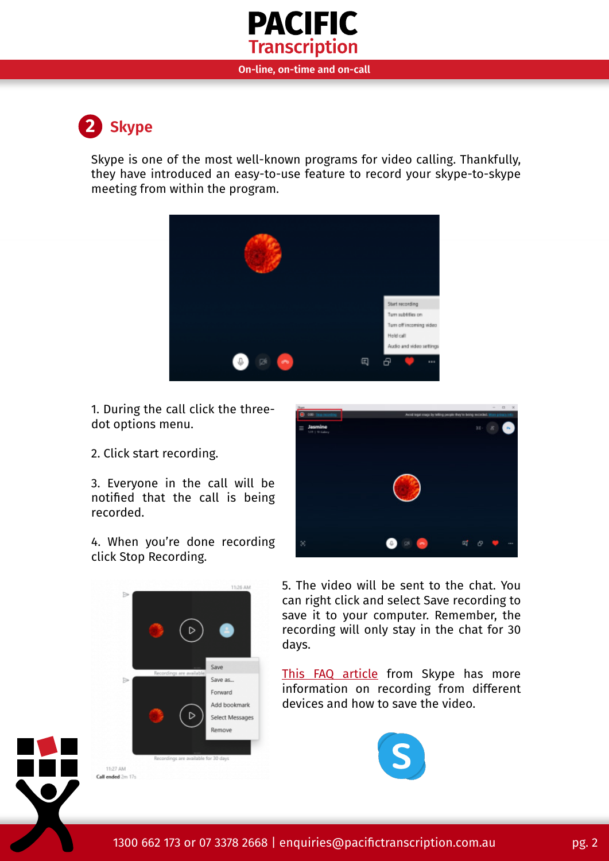



Skype is one of the most well-known programs for video calling. Thankfully, they have introduced an easy-to-use feature to record your skype-to-skype meeting from within the program.



1. During the call click the threedot options menu.

2. Click start recording.

B

 $\triangleright$ 

11:27 AM Call ended 2m 17s

3. Everyone in the call will be notified that the call is being recorded.

4. When you're done recording click Stop Recording.

11:26 AM

Save

D

profines are available for 30 days

Save as... Forward Add bookmark

Select Messages Remove



5. The video will be sent to the chat. You can right click and select Save recording to save it to your computer. Remember, the recording will only stay in the chat for 30 days.

[This FAQ article](https://support.skype.com/en/faq/FA12395/how-do-i-record-my-skype-calls) from Skype has more information on recording from different devices and how to save the video.



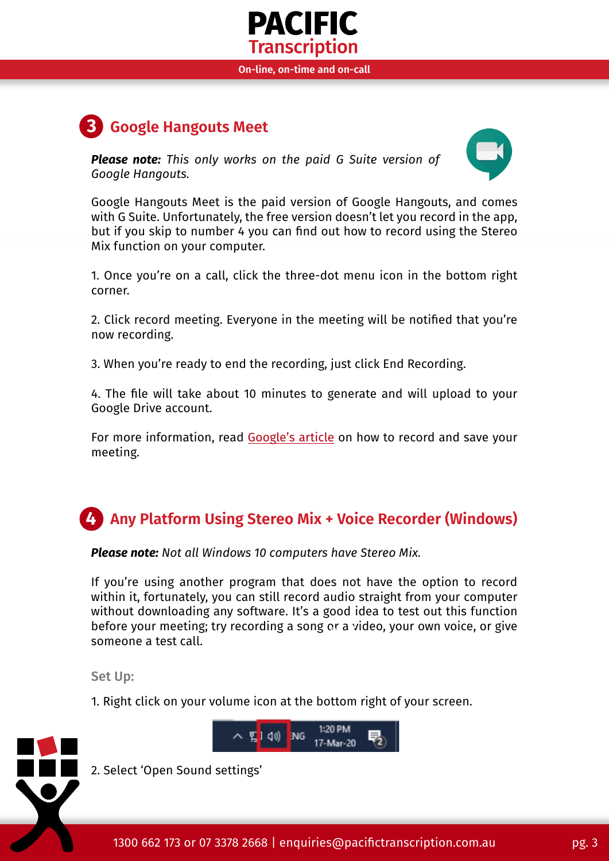

**On-line, on-time and on-call**

## **Google Hangouts Meet 3**

*Please note: This only works on the paid G Suite version of Google Hangouts.*



Google Hangouts Meet is the paid version of Google Hangouts, and comes with G Suite. Unfortunately, the free version doesn't let you record in the app, but if you skip to number 4 you can find out how to record using the Stereo Mix function on your computer.

1. Once you're on a call, click the three-dot menu icon in the bottom right corner.

2. Click record meeting. Everyone in the meeting will be notified that you're now recording.

3. When you're ready to end the recording, just click End Recording.

4. The file will take about 10 minutes to generate and will upload to your Google Drive account.

For more information, read [Google's article](https://support.google.com/meet/answer/9308681?hl=en) on how to record and save your meeting.

# **4 Any Platform Using Stereo Mix + Voice Recorder (Windows)**

*Please note: Not all Windows 10 computers have Stereo Mix.*

If you're using another program that does not have the option to record within it, fortunately, you can still record audio straight from your computer without downloading any software. It's a good idea to test out this function before your meeting; try recording a song or a video, your own voice, or give pg. 2 someone a test call.

Set Up:

1. Right click on your volume icon at the bottom right of your screen.





2. Select 'Open Sound settings'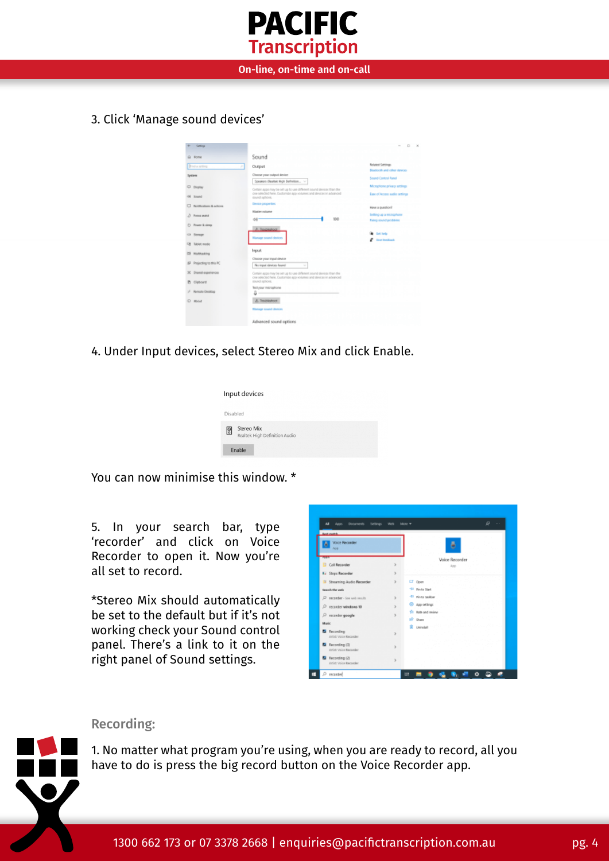

**On-line, on-time and on-call**

3. Click 'Manage sound devices'



4. Under Input devices, select Stereo Mix and click Enable.

|          | Input devices                               |
|----------|---------------------------------------------|
| Disabled |                                             |
| ▧        | Stereo Mix<br>Realtek High Definition Audio |
|          | Enable                                      |

You can now minimise this window. \*

5. In your search bar, type 'recorder' and click on Voice Recorder to open it. Now you're all set to record.

\*Stereo Mix should automatically be set to the default but if it's not working check your Sound control panel. There's a link to it on the right panel of Sound settings.

| <b>Tellings</b><br>an<br>Apps<br>Documents                                 |                              | ø<br>$\cdots$<br><b>Informe W</b>                 |
|----------------------------------------------------------------------------|------------------------------|---------------------------------------------------|
| <b>Basic countries</b><br><b>Voice Recorder</b><br>Ari 41                  |                              | д                                                 |
| <b>CONTRACTOR</b><br><b>Call Recorder</b>                                  | 3                            | Voice Recorder<br>App                             |
| <b>IV Steps Recorder</b><br><sup>1</sup> Streaming Audio Recorder          | y.<br>$\mathbf{r}$           | LT Open<br><sup>-51</sup> Fin to Start            |
| tearch the web<br>D recorder - See web results<br>recorder windows 10<br>D | $\mathbf{r}$<br>$\mathbf{y}$ | -51 Pin to tackbar<br>C App oittings              |
| p<br>recorder google<br>Maric                                              | 3                            | <sup>(2)</sup> Rate and review<br><b>IP Share</b> |
| <b>D</b> Recording<br>Artist Voice Recorder                                | x                            | <b>R</b> University                               |
| <b>E</b> Recording (3)<br>Artist Voice Recorder                            | $\mathbf{y}$                 |                                                   |
| <b>D</b> Recording (2)<br>Artist Voice Recorder                            | y.                           |                                                   |

#### Recording:

1. No matter what program you're using, when you are ready to record, all you have to do is press the big record button on the Voice Recorder app.